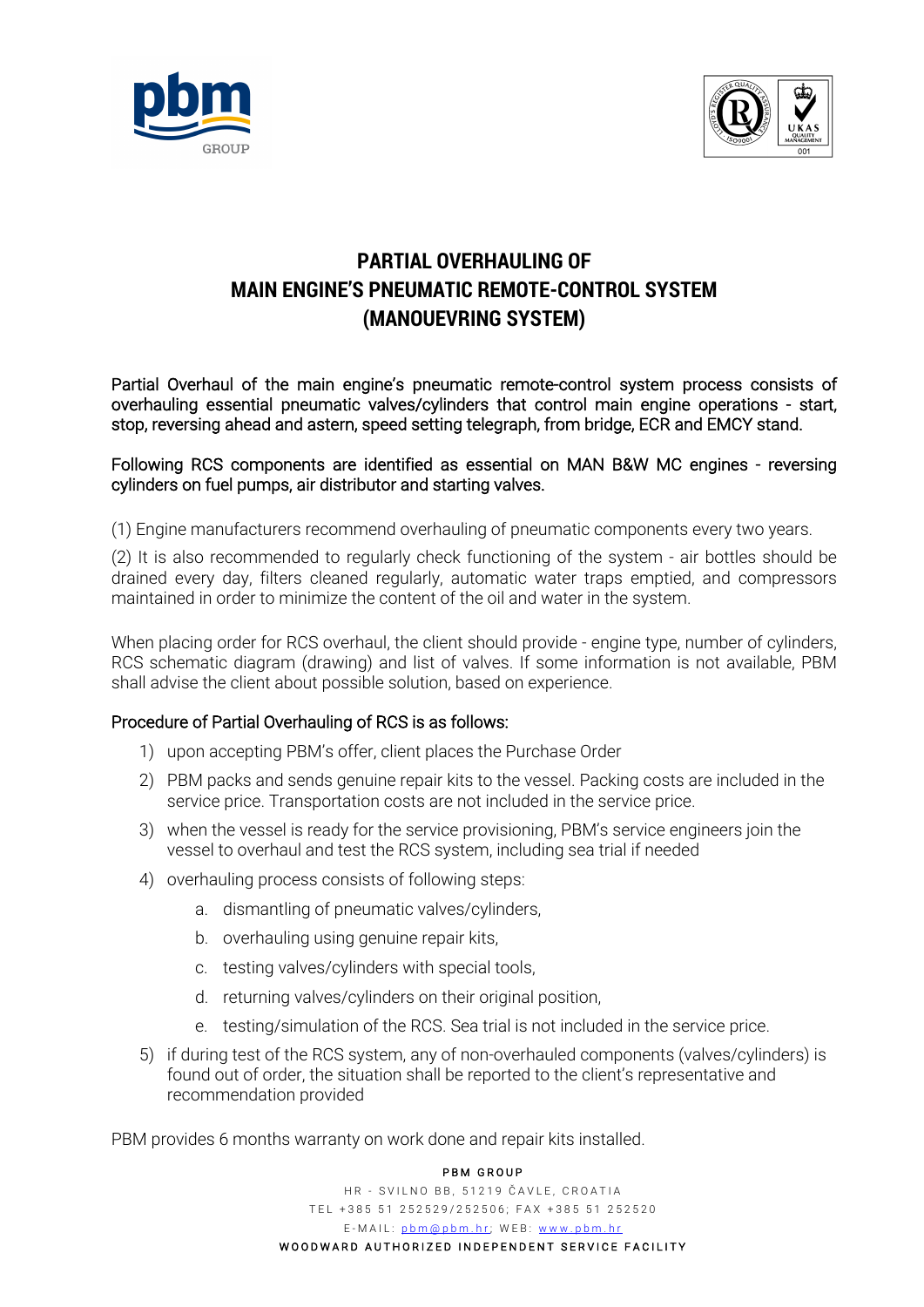



## **PARTIAL OVERHAULING OF MAIN ENGINE'S PNEUMATIC REMOTE-CONTROL SYSTEM (MANOUEVRING SYSTEM)**

Partial Overhaul of the main engine's pneumatic remote-control system process consists of overhauling essential pneumatic valves/cylinders that control main engine operations - start, stop, reversing ahead and astern, speed setting telegraph, from bridge, ECR and EMCY stand.

## Following RCS components are identified as essential on MAN B&W MC engines - reversing cylinders on fuel pumps, air distributor and starting valves.

(1) Engine manufacturers recommend overhauling of pneumatic components every two years.

(2) It is also recommended to regularly check functioning of the system - air bottles should be drained every day, filters cleaned regularly, automatic water traps emptied, and compressors maintained in order to minimize the content of the oil and water in the system.

When placing order for RCS overhaul, the client should provide - engine type, number of cylinders, RCS schematic diagram (drawing) and list of valves. If some information is not available, PBM shall advise the client about possible solution, based on experience.

## Procedure of Partial Overhauling of RCS is as follows:

- 1) upon accepting PBM's offer, client places the Purchase Order
- 2) PBM packs and sends genuine repair kits to the vessel. Packing costs are included in the service price. Transportation costs are not included in the service price.
- 3) when the vessel is ready for the service provisioning, PBM's service engineers join the vessel to overhaul and test the RCS system, including sea trial if needed
- 4) overhauling process consists of following steps:
	- a. dismantling of pneumatic valves/cylinders,
	- b. overhauling using genuine repair kits,
	- c. testing valves/cylinders with special tools,
	- d. returning valves/cylinders on their original position,
	- e. testing/simulation of the RCS. Sea trial is not included in the service price.
- 5) if during test of the RCS system, any of non-overhauled components (valves/cylinders) is found out of order, the situation shall be reported to the client's representative and recommendation provided

PBM provides 6 months warranty on work done and repair kits installed.

## PBM GROUP

HR - SVILNO BB, 51219 ČAVLE, CROATIA TEL +385 51 252529/252506; FAX +385 51 252520 E-MAIL: pbm@pbm.hr; WEB: www.pbm.hr WOODWARD AUTHORIZED INDEPENDENT SERVICE FACILITY